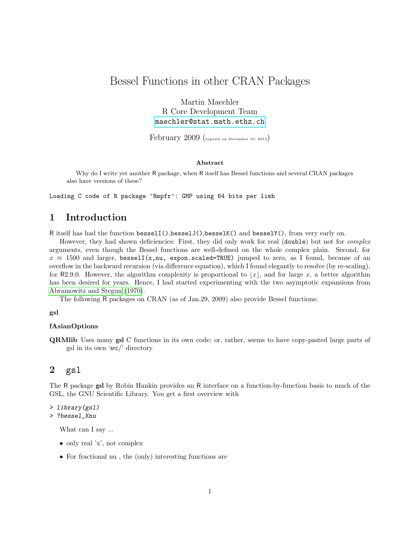# Bessel Functions in other CRAN Packages

Martin Maechler R Core Development Team [maechler@stat.math.ethz.ch](mailto:maechler@stat.math.ethz.ch)

February 2009 (typeset on December 10, 2013)

#### Abstract

Why do I write yet another R package, when R itself has Bessel functions and several CRAN packages also have versions of these?

Loading C code of R package 'Rmpfr': GMP using 64 bits per limb

### 1 Introduction

R itself has had the function besselI(),besselJ(),besselK() and besselY(), from very early on.

However, they had shown deficiencies: First, they did only work for real (double) but not for *complex* arguments, even though the Bessel functions are well-defined on the whole complex plain. Second, for  $x \approx 1500$  and larger, bessell(x,nu, expon.scaled=TRUE) jumped to zero, as I found, because of an overflow in the backward recursion (via difference equation), which I found elegantly to resolve (by re-scaling), for R2.9.0. However, the algorithm complexity is proportional to  $|x|$ , and for large x, a better algorithm has been desired for years. Hence, I had started experimenting with the two asymptotic expansions from [Abramowitz and Stegun \(1970\)](#page-1-0).

The following R packages on CRAN (as of Jan.29, 2009) also provide Bessel functions:

#### gsl

#### fAsianOptions

QRMlib Uses many gsl C functions in its own code; or, rather, seems to have copy-pasted large parts of gsl in its own 'src/' directory

### 2 gsl

The R package gsl by Robin Hankin provides an R interface on a function-by-function basis to much of the GSL, the GNU Scientific Library. You get a first overview with

```
> library(gsl)
```

```
> ?bessel_Knu
```
What can I say ...

- only real 'x', not complex
- For fractional nu , the (only) interesting functions are